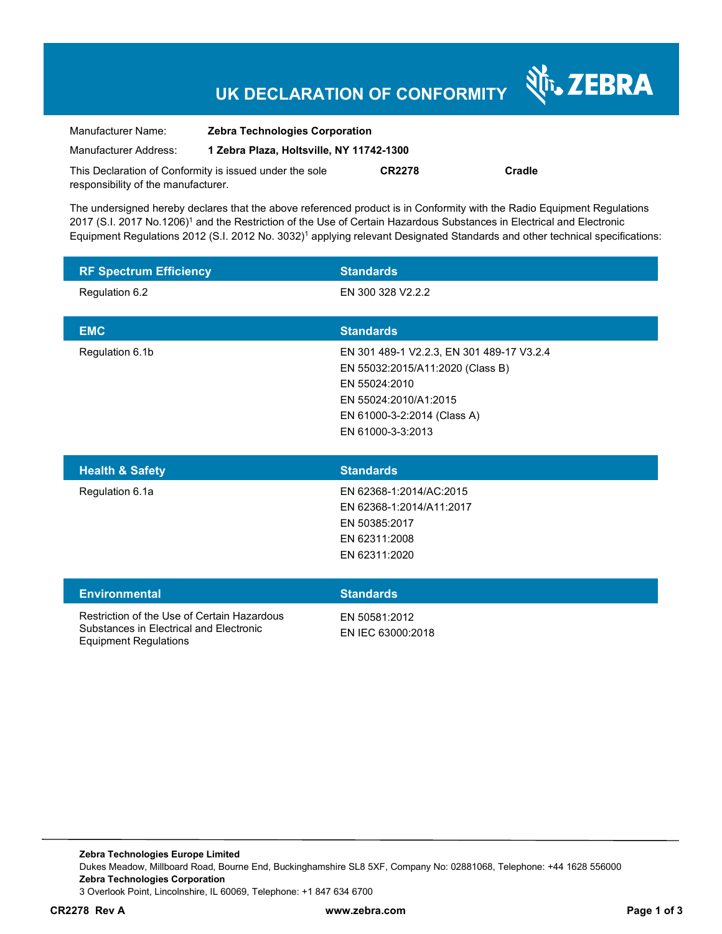# **UK DECLARATION OF CONFORMITY**

Nr. ZEBRA

| Manufacturer Name:                                      | <b>Zebra Technologies Corporation</b>    |               |        |  |
|---------------------------------------------------------|------------------------------------------|---------------|--------|--|
| Manufacturer Address:                                   | 1 Zebra Plaza, Holtsville, NY 11742-1300 |               |        |  |
| This Declaration of Conformity is issued under the sole |                                          | <b>CR2278</b> | Cradle |  |
| responsibility of the manufacturer.                     |                                          |               |        |  |

The undersigned hereby declares that the above referenced product is in Conformity with the Radio Equipment Regulations 2017 (S.I. 2017 No.1206)<sup>1</sup> and the Restriction of the Use of Certain Hazardous Substances in Electrical and Electronic Equipment Regulations 2012 (S.I. 2012 No. 3032)<sup>1</sup> applying relevant Designated Standards and other technical specifications:

| <b>RF Spectrum Efficiency</b> | <b>Standards</b>                                                                                                                                                            |
|-------------------------------|-----------------------------------------------------------------------------------------------------------------------------------------------------------------------------|
| Regulation 6.2                | EN 300 328 V2.2.2                                                                                                                                                           |
| <b>EMC</b>                    | <b>Standards</b>                                                                                                                                                            |
| Regulation 6.1b               | EN 301 489-1 V2.2.3, EN 301 489-17 V3.2.4<br>EN 55032:2015/A11:2020 (Class B)<br>EN 55024:2010<br>EN 55024:2010/A1:2015<br>EN 61000-3-2:2014 (Class A)<br>EN 61000-3-3:2013 |

| <b>Health &amp; Safety</b> | <b>Standards</b>         |
|----------------------------|--------------------------|
| Regulation 6.1a            | EN 62368-1:2014/AC:2015  |
|                            | EN 62368-1:2014/A11:2017 |
|                            | EN 50385:2017            |
|                            | EN 62311:2008            |
|                            | EN 62311:2020            |
|                            |                          |

| <b>Environmental</b>                                                                                                   | <b>Standards</b>                   |
|------------------------------------------------------------------------------------------------------------------------|------------------------------------|
| Restriction of the Use of Certain Hazardous<br>Substances in Electrical and Electronic<br><b>Equipment Regulations</b> | FN 50581:2012<br>EN IEC 63000:2018 |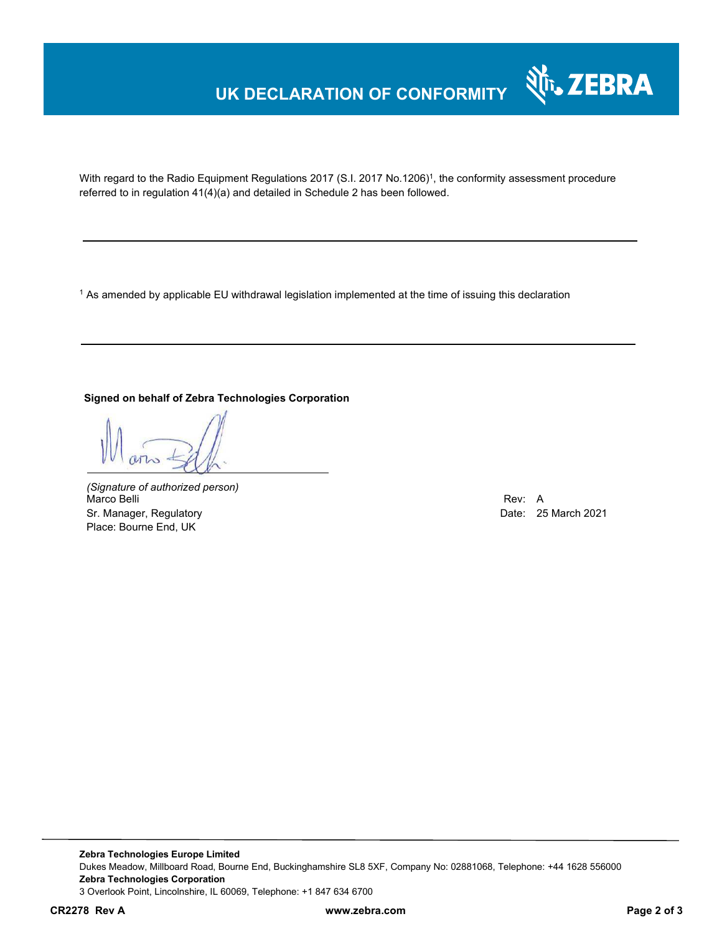## **UK DECLARATION OF CONFORMITY**



With regard to the Radio Equipment Regulations 2017 (S.I. 2017 No.1206)<sup>1</sup>, the conformity assessment procedure referred to in regulation 41(4)(a) and detailed in Schedule 2 has been followed.

1 As amended by applicable EU withdrawal legislation implemented at the time of issuing this declaration

#### **Signed on behalf of Zebra Technologies Corporation**

*(Signature of authorized person)* Marco Belli Rev: A Sr. Manager, Regulatory **Date: 25 March 2021** Control and Date: 25 March 2021 Place: Bourne End, UK

**Zebra Technologies Europe Limited**  Dukes Meadow, Millboard Road, Bourne End, Buckinghamshire SL8 5XF, Company No: 02881068, Telephone: +44 1628 556000 **Zebra Technologies Corporation**  3 Overlook Point, Lincolnshire, IL 60069, Telephone: +1 847 634 6700